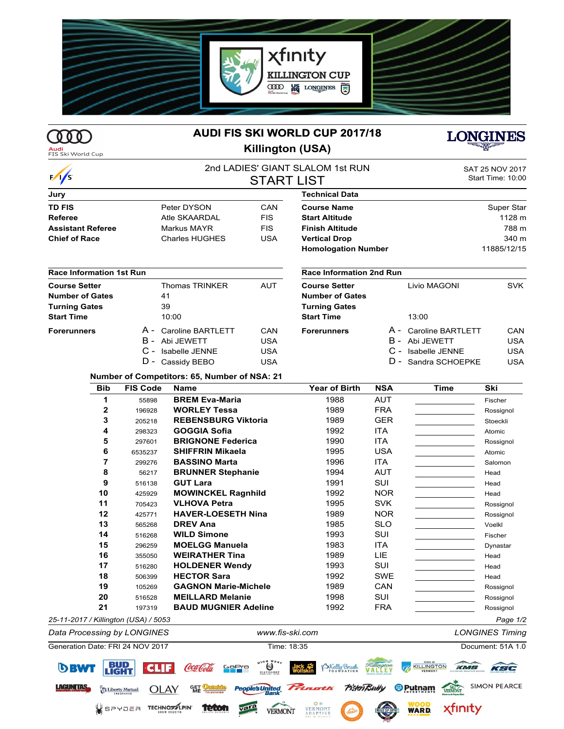

## 000

## **AUDI FIS SKI WORLD CUP 2017/18 Killington (USA)**



LAGUNTAS.

**OLAY** 

SPYDER TECHNOZIPIN

Liberty Mutual.

떏

**teton** 

| <b>LONGINES</b> |
|-----------------|
| سططائف          |

| $\frac{1}{s}$                   |                 | 2nd LADIES' GIANT SLALOM 1st RUN<br><b>START LIST</b> |            |                                 |            |                     | SAT 25 NOV 2017<br>Start Time: 10:00 |  |
|---------------------------------|-----------------|-------------------------------------------------------|------------|---------------------------------|------------|---------------------|--------------------------------------|--|
| Jury                            |                 |                                                       |            | <b>Technical Data</b>           |            |                     |                                      |  |
| <b>TD FIS</b>                   |                 | Peter DYSON                                           | CAN        | <b>Course Name</b>              |            |                     | Super Star                           |  |
| <b>Referee</b>                  |                 | Atle SKAARDAL                                         | <b>FIS</b> | <b>Start Altitude</b>           |            |                     | 1128 m                               |  |
| <b>Assistant Referee</b>        |                 | Markus MAYR                                           | <b>FIS</b> | <b>Finish Altitude</b>          |            |                     | 788 m                                |  |
| <b>Chief of Race</b>            |                 | <b>Charles HUGHES</b>                                 | <b>USA</b> | <b>Vertical Drop</b>            |            |                     | 340 m                                |  |
|                                 |                 |                                                       |            | <b>Homologation Number</b>      |            |                     | 11885/12/15                          |  |
| <b>Race Information 1st Run</b> |                 |                                                       |            | <b>Race Information 2nd Run</b> |            |                     |                                      |  |
| <b>Course Setter</b>            |                 | <b>Thomas TRINKER</b>                                 | <b>AUT</b> | <b>Course Setter</b>            |            | Livio MAGONI        | <b>SVK</b>                           |  |
| <b>Number of Gates</b>          |                 | 41                                                    |            | <b>Number of Gates</b>          |            |                     |                                      |  |
| <b>Turning Gates</b>            |                 | 39                                                    |            | <b>Turning Gates</b>            |            |                     |                                      |  |
| <b>Start Time</b>               |                 | 10:00                                                 |            | <b>Start Time</b>               |            | 13:00               |                                      |  |
| <b>Forerunners</b>              |                 | A - Caroline BARTLETT                                 | CAN        | <b>Forerunners</b>              | A -        | Caroline BARTLETT   | CAN                                  |  |
|                                 | B -             | Abi JEWETT                                            | <b>USA</b> |                                 | в -        | Abi JEWETT          | <b>USA</b>                           |  |
|                                 |                 | C - Isabelle JENNE                                    | <b>USA</b> |                                 |            | C - Isabelle JENNE  | <b>USA</b>                           |  |
|                                 | D -             | Cassidy BEBO                                          | <b>USA</b> |                                 |            | D - Sandra SCHOEPKE | <b>USA</b>                           |  |
|                                 |                 | Number of Competitors: 65, Number of NSA: 21          |            |                                 |            |                     |                                      |  |
| <b>Bib</b>                      | <b>FIS Code</b> | <b>Name</b>                                           |            | <b>Year of Birth</b>            | <b>NSA</b> | <b>Time</b>         | Ski                                  |  |
| 1                               | 55898           | <b>BREM Eva-Maria</b>                                 |            | 1988                            | <b>AUT</b> |                     | Fischer                              |  |
| 2                               | 196928          | <b>WORLEY Tessa</b>                                   |            | 1989                            | <b>FRA</b> |                     | Rossignol                            |  |
| 3                               | 205218          | <b>REBENSBURG Viktoria</b>                            |            | 1989                            | <b>GER</b> |                     | Stoeckli                             |  |
| 4                               | 298323          | <b>GOGGIA Sofia</b>                                   |            | 1992                            | <b>ITA</b> |                     | Atomic                               |  |
| 5                               | 297601          | <b>BRIGNONE Federica</b>                              |            | 1990                            | <b>ITA</b> |                     | Rossignol                            |  |
| 6                               | 6535237         | <b>SHIFFRIN Mikaela</b>                               |            | 1995                            | <b>USA</b> |                     | Atomic                               |  |



ple's United

**VERMONT** 

vara

<sup>®</sup> Putnam

**WARD.** 

xfinity

**Picton Bully**